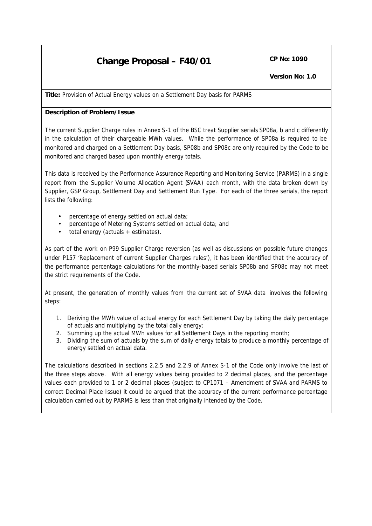# **Change Proposal – F40/01**  $\left|\begin{array}{cc} \text{CP No: } 1090 \end{array}\right|$

**Title:** Provision of Actual Energy values on a Settlement Day basis for PARMS

## **Description of Problem/Issue**

The current Supplier Charge rules in Annex S-1 of the BSC treat Supplier serials SP08a, b and c differently in the calculation of their chargeable MWh values. While the performance of SP08a is required to be monitored and charged on a Settlement Day basis, SP08b and SP08c are only required by the Code to be monitored and charged based upon monthly energy totals.

This data is received by the Performance Assurance Reporting and Monitoring Service (PARMS) in a single report from the Supplier Volume Allocation Agent (SVAA) each month, with the data broken down by Supplier, GSP Group, Settlement Day and Settlement Run Type. For each of the three serials, the report lists the following:

- percentage of energy settled on actual data;
- percentage of Metering Systems settled on actual data; and
- total energy (actuals + estimates).

As part of the work on P99 Supplier Charge reversion (as well as discussions on possible future changes under P157 'Replacement of current Supplier Charges rules'), it has been identified that the accuracy of the performance percentage calculations for the monthly-based serials SP08b and SP08c may not meet the strict requirements of the Code.

At present, the generation of monthly values from the current set of SVAA data involves the following steps:

- 1. Deriving the MWh value of actual energy for each Settlement Day by taking the daily percentage of actuals and multiplying by the total daily energy;
- 2. Summing up the actual MWh values for all Settlement Days in the reporting month;
- 3. Dividing the sum of actuals by the sum of daily energy totals to produce a monthly percentage of energy settled on actual data.

The calculations described in sections 2.2.5 and 2.2.9 of Annex S-1 of the Code only involve the last of the three steps above. With all energy values being provided to 2 decimal places, and the percentage values each provided to 1 or 2 decimal places (subject to CP1071 – Amendment of SVAA and PARMS to correct Decimal Place Issue) it could be argued that the accuracy of the current performance percentage calculation carried out by PARMS is less than that originally intended by the Code.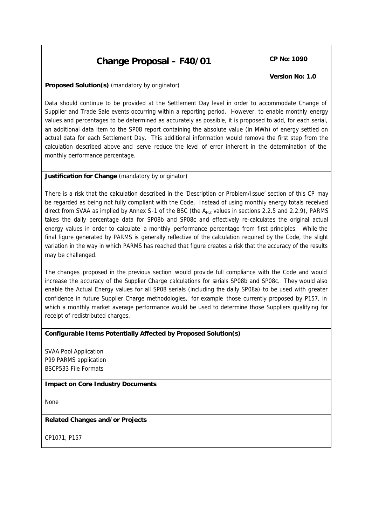# **Change Proposal – F40/01**  $\left|\begin{array}{cc} \text{CP No: } 1090 \end{array}\right|$

*Version No: 1.0*

#### **Proposed Solution(s)** *(mandatory by originator)*

Data should continue to be provided at the Settlement Day level in order to accommodate Change of Supplier and Trade Sale events occurring within a reporting period. However, to enable monthly energy values and percentages to be determined as accurately as possible, it is proposed to add, for each serial, an additional data item to the SP08 report containing the absolute value (in MWh) of energy settled on actual data for each Settlement Day. This additional information would remove the first step from the calculation described above and serve reduce the level of error inherent in the determination of the monthly performance percentage.

#### **Justification for Change** *(mandatory by originator)*

There is a risk that the calculation described in the 'Description or Problem/Issue' section of this CP may be regarded as being not fully compliant with the Code. Instead of using monthly energy totals received direct from SVAA as implied by Annex S-1 of the BSC (the  $A_{HZ}$  values in sections 2.2.5 and 2.2.9), PARMS takes the daily percentage data for SP08b and SP08c and effectively re-calculates the original actual energy values in order to calculate a monthly performance percentage from first principles. While the final figure generated by PARMS is generally reflective of the calculation required by the Code, the slight variation in the way in which PARMS has reached that figure creates a risk that the accuracy of the results may be challenged.

The changes proposed in the previous section would provide full compliance with the Code and would increase the accuracy of the Supplier Charge calculations for serials SP08b and SP08c. They would also enable the Actual Energy values for all SP08 serials (including the daily SP08a) to be used with greater confidence in future Supplier Charge methodologies, for example those currently proposed by P157, in which a monthly market average performance would be used to determine those Suppliers qualifying for receipt of redistributed charges.

#### **Configurable Items Potentially Affected by Proposed Solution(s)**

SVAA Pool Application P99 PARMS application BSCP533 File Formats

#### **Impact on Core Industry Documents**

None

#### **Related Changes and/or Projects**

CP1071, P157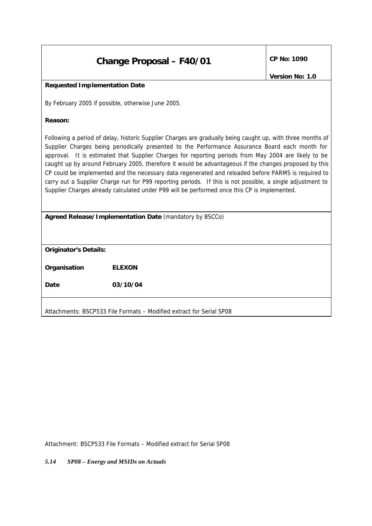| <b>Change Proposal - F40/01</b> | CP No: 1090 |
|---------------------------------|-------------|
|---------------------------------|-------------|

### **Requested Implementation Date**

By February 2005 if possible, otherwise June 2005.

#### **Reason:**

Following a period of delay, historic Supplier Charges are gradually being caught up, with three months of Supplier Charges being periodically presented to the Performance Assurance Board each month for approval. It is estimated that Supplier Charges for reporting periods from May 2004 are likely to be caught up by around February 2005, therefore it would be advantageous if the changes proposed by this CP could be implemented and the necessary data regenerated and reloaded before PARMS is required to carry out a Supplier Charge run for P99 reporting periods. If this is not possible, a single adjustment to Supplier Charges already calculated under P99 will be performed once this CP is implemented.

| Agreed Release/Implementation Date (mandatory by BSCCo) |  |  |
|---------------------------------------------------------|--|--|
|                                                         |  |  |

*Originator's Details:*

*Organisation ELEXON*

*Date 03/10/04*

Attachments: BSCP533 File Formats – Modified extract for Serial SP08

Attachment: BSCP533 File Formats – Modified extract for Serial SP08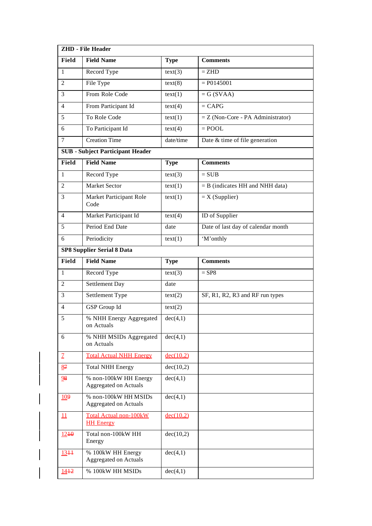|                           | <b>ZHD - File Header</b>                              |             |                                     |  |  |  |
|---------------------------|-------------------------------------------------------|-------------|-------------------------------------|--|--|--|
| Field                     | <b>Field Name</b>                                     | <b>Type</b> | <b>Comments</b>                     |  |  |  |
| $\mathbf{1}$              | Record Type                                           | text(3)     | $=$ ZHD                             |  |  |  |
| 2                         | File Type                                             | text(8)     | $= P0145001$                        |  |  |  |
| 3                         | From Role Code                                        | text(1)     | $= G (SVAA)$                        |  |  |  |
| $\overline{4}$            | From Participant Id                                   | text(4)     | $=$ CAPG                            |  |  |  |
| 5                         | To Role Code                                          | text(1)     | $=$ Z (Non-Core - PA Administrator) |  |  |  |
| 6                         | To Participant Id                                     | text(4)     | $=$ POOL                            |  |  |  |
| $\overline{7}$            | <b>Creation Time</b>                                  | date/time   | Date & time of file generation      |  |  |  |
|                           | <b>SUB</b> - Subject Participant Header               |             |                                     |  |  |  |
| Field                     | <b>Field Name</b>                                     | <b>Type</b> | <b>Comments</b>                     |  |  |  |
| $\mathbf{1}$              | Record Type                                           | text(3)     | $=$ SUB                             |  |  |  |
| $\overline{2}$            | <b>Market Sector</b>                                  | text(1)     | $=$ B (indicates HH and NHH data)   |  |  |  |
| 3                         | Market Participant Role<br>Code                       | text(1)     | $=X(Supplier)$                      |  |  |  |
| 4                         | Market Participant Id                                 | text(4)     | ID of Supplier                      |  |  |  |
| 5                         | Period End Date                                       | date        | Date of last day of calendar month  |  |  |  |
| 6                         | Periodicity                                           | text(1)     | 'M'onthly                           |  |  |  |
|                           | <b>SP8 Supplier Serial 8 Data</b>                     |             |                                     |  |  |  |
| Field                     | <b>Field Name</b>                                     | <b>Type</b> | <b>Comments</b>                     |  |  |  |
| $\mathbf{1}$              | Record Type                                           | text(3)     | $=$ SP8                             |  |  |  |
| $\overline{2}$            | Settlement Day                                        | date        |                                     |  |  |  |
| 3                         | Settlement Type                                       | text(2)     | SF, R1, R2, R3 and RF run types     |  |  |  |
| $\overline{4}$            | GSP Group Id                                          | text(2)     |                                     |  |  |  |
| 5                         | % NHH Energy Aggregated<br>on Actuals                 | dec(4,1)    |                                     |  |  |  |
| 6                         | % NHH MSIDs Aggregated<br>on Actuals                  | dec(4,1)    |                                     |  |  |  |
| $\overline{1}$            | <b>Total Actual NHH Energy</b>                        | dec(10.2)   |                                     |  |  |  |
| 87                        | <b>Total NHH Energy</b>                               | dec(10,2)   |                                     |  |  |  |
| 98                        | % non-100kW HH Energy<br><b>Aggregated on Actuals</b> | dec(4,1)    |                                     |  |  |  |
| 109                       | % non-100kW HH MSIDs<br><b>Aggregated on Actuals</b>  | dec(4,1)    |                                     |  |  |  |
| $\mathbf{\underline{11}}$ | <b>Total Actual non-100kW</b><br><b>HH Energy</b>     | dec(10.2)   |                                     |  |  |  |
| $12 + 0$                  | Total non-100kW HH<br>Energy                          | dec(10,2)   |                                     |  |  |  |
| $13 + 1$                  | % 100kW HH Energy<br><b>Aggregated on Actuals</b>     | dec(4,1)    |                                     |  |  |  |
| $14 + 2$                  | % 100kW HH MSIDs                                      | dec(4,1)    |                                     |  |  |  |